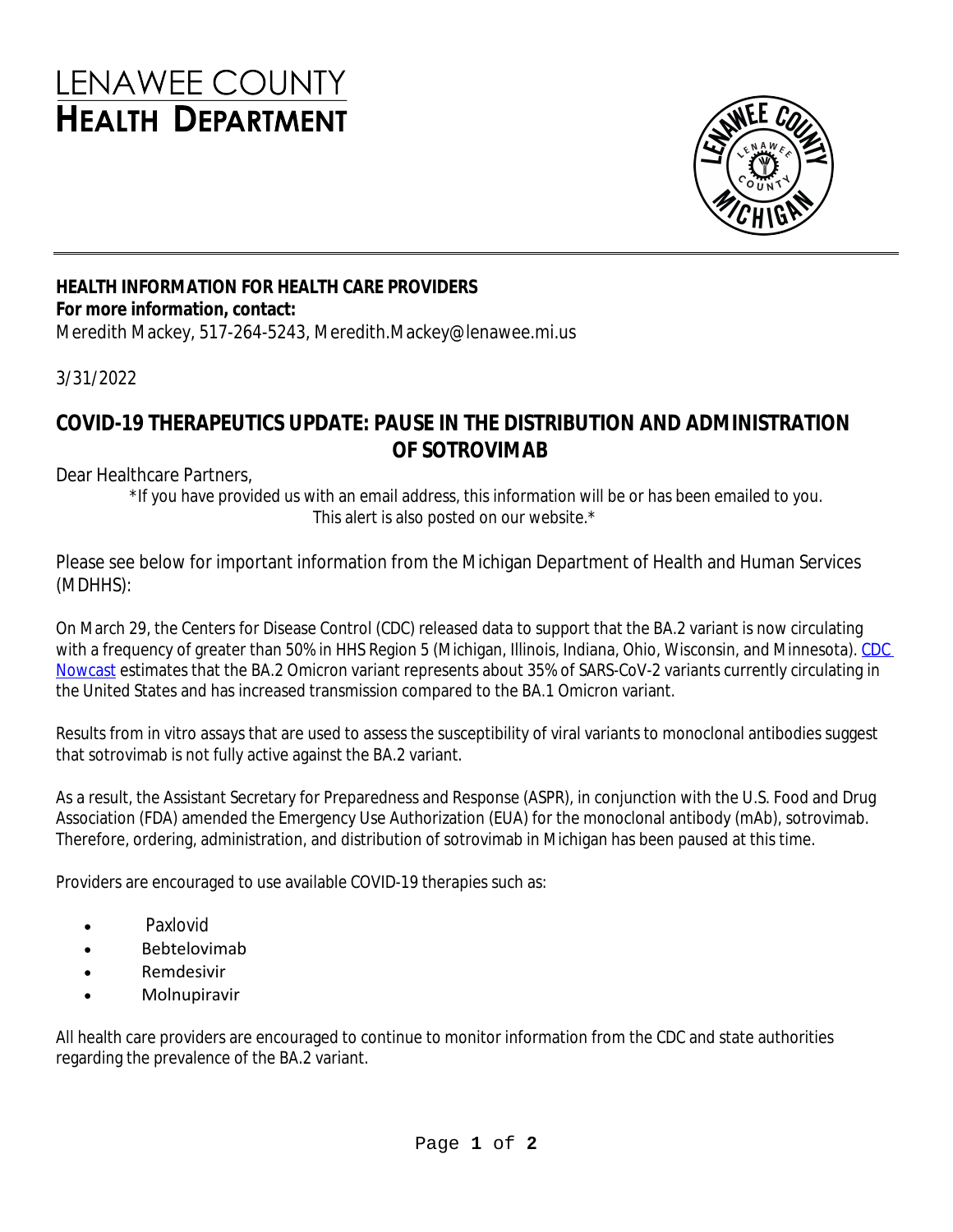## **LENAWEE COUNTY HEALTH DEPARTMENT**



## **HEALTH INFORMATION FOR HEALTH CARE PROVIDERS For more information, contact:**

Meredith Mackey, 517-264-5243, Meredith.Mackey@lenawee.mi.us

3/31/2022

## **COVID-19 THERAPEUTICS UPDATE: PAUSE IN THE DISTRIBUTION AND ADMINISTRATION OF SOTROVIMAB**

Dear Healthcare Partners,

\*If you have provided us with an email address, this information will be or has been emailed to you. This alert is also posted on our website.\*

Please see below for important information from the Michigan Department of Health and Human Services (MDHHS):

On March 29, the Centers for Disease Control (CDC) released data to support that the BA.2 variant is now circulating with a frequency of greater than 50% in HHS Region 5 (Michigan, Illinois, Indiana, Ohio, Wisconsin, and Minnesota). CDC Nowcast estimates that the BA.2 Omicron variant represents about 35% of SARS-CoV-2 variants currently circulating in the United States and has increased transmission compared to the BA.1 Omicron variant.

Results from in vitro assays that are used to assess the susceptibility of viral variants to monoclonal antibodies suggest that sotrovimab is not fully active against the BA.2 variant.

As a result, the Assistant Secretary for Preparedness and Response (ASPR), in conjunction with the U.S. Food and Drug Association (FDA) amended the Emergency Use Authorization (EUA) for the monoclonal antibody (mAb), sotrovimab. Therefore, ordering, administration, and distribution of sotrovimab in Michigan has been paused at this time.

Providers are encouraged to use available COVID-19 therapies such as:

- Paxlovid
- Bebtelovimab
- Remdesivir
- Molnupiravir

All health care providers are encouraged to continue to monitor information from the CDC and state authorities regarding the prevalence of the BA.2 variant.